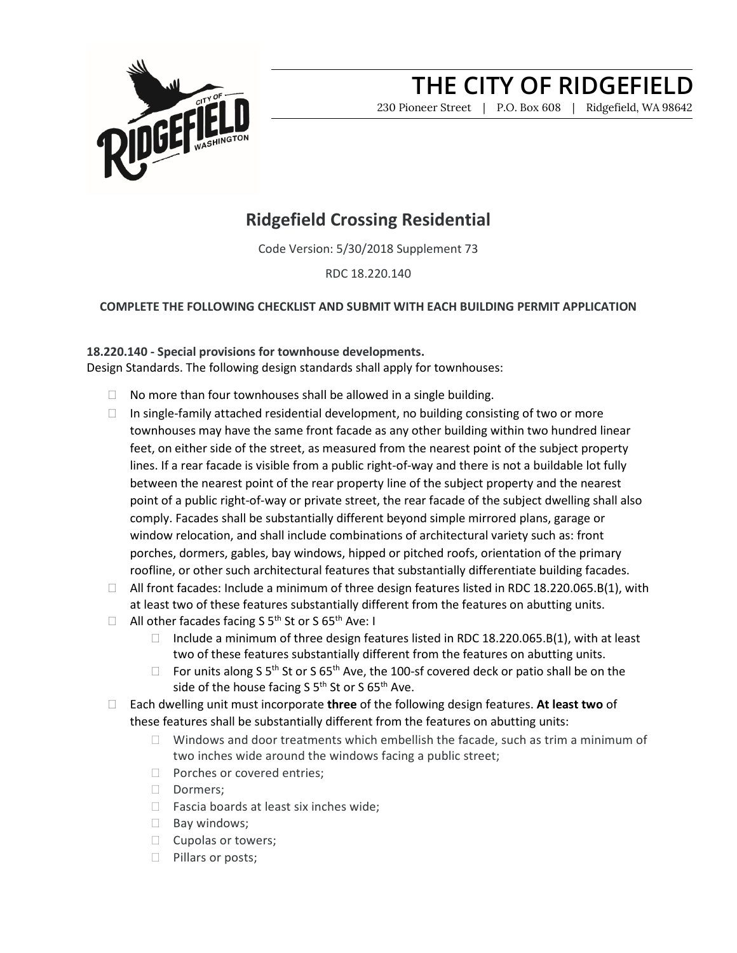

## **THE CITY OF RIDGEFIELD**

230 Pioneer Street | P.O. Box 608 | Ridgefield, WA 98642

### **Ridgefield Crossing Residential**

Code Version: 5/30/2018 Supplement 73

RDC 18.220.140

#### **COMPLETE THE FOLLOWING CHECKLIST AND SUBMIT WITH EACH BUILDING PERMIT APPLICATION**

#### **18.220.140 - Special provisions for townhouse developments.**

Design Standards. The following design standards shall apply for townhouses:

- $\Box$  No more than four townhouses shall be allowed in a single building.
- $\Box$  In single-family attached residential development, no building consisting of two or more townhouses may have the same front facade as any other building within two hundred linear feet, on either side of the street, as measured from the nearest point of the subject property lines. If a rear facade is visible from a public right-of-way and there is not a buildable lot fully between the nearest point of the rear property line of the subject property and the nearest point of a public right-of-way or private street, the rear facade of the subject dwelling shall also comply. Facades shall be substantially different beyond simple mirrored plans, garage or window relocation, and shall include combinations of architectural variety such as: front porches, dormers, gables, bay windows, hipped or pitched roofs, orientation of the primary roofline, or other such architectural features that substantially differentiate building facades.
- □ All front facades: Include a minimum of three design features listed in RDC 18.220.065.B(1), with at least two of these features substantially different from the features on abutting units.
- $\Box$  All other facades facing S 5<sup>th</sup> St or S 65<sup>th</sup> Ave: I
	- Include a minimum of three design features listed in RDC 18.220.065.B(1), with at least two of these features substantially different from the features on abutting units.
	- $\Box$  For units along S 5<sup>th</sup> St or S 65<sup>th</sup> Ave, the 100-sf covered deck or patio shall be on the side of the house facing S  $5<sup>th</sup>$  St or S  $65<sup>th</sup>$  Ave.
- Each dwelling unit must incorporate **three** of the following design features. **At least two** of these features shall be substantially different from the features on abutting units:
	- $\Box$  Windows and door treatments which embellish the facade, such as trim a minimum of two inches wide around the windows facing a public street;
	- D Porches or covered entries;
	- Dormers:
	- $\Box$  Fascia boards at least six inches wide;
	- $\Box$  Bay windows;
	- $\Box$  Cupolas or towers;
	- $\Box$  Pillars or posts;